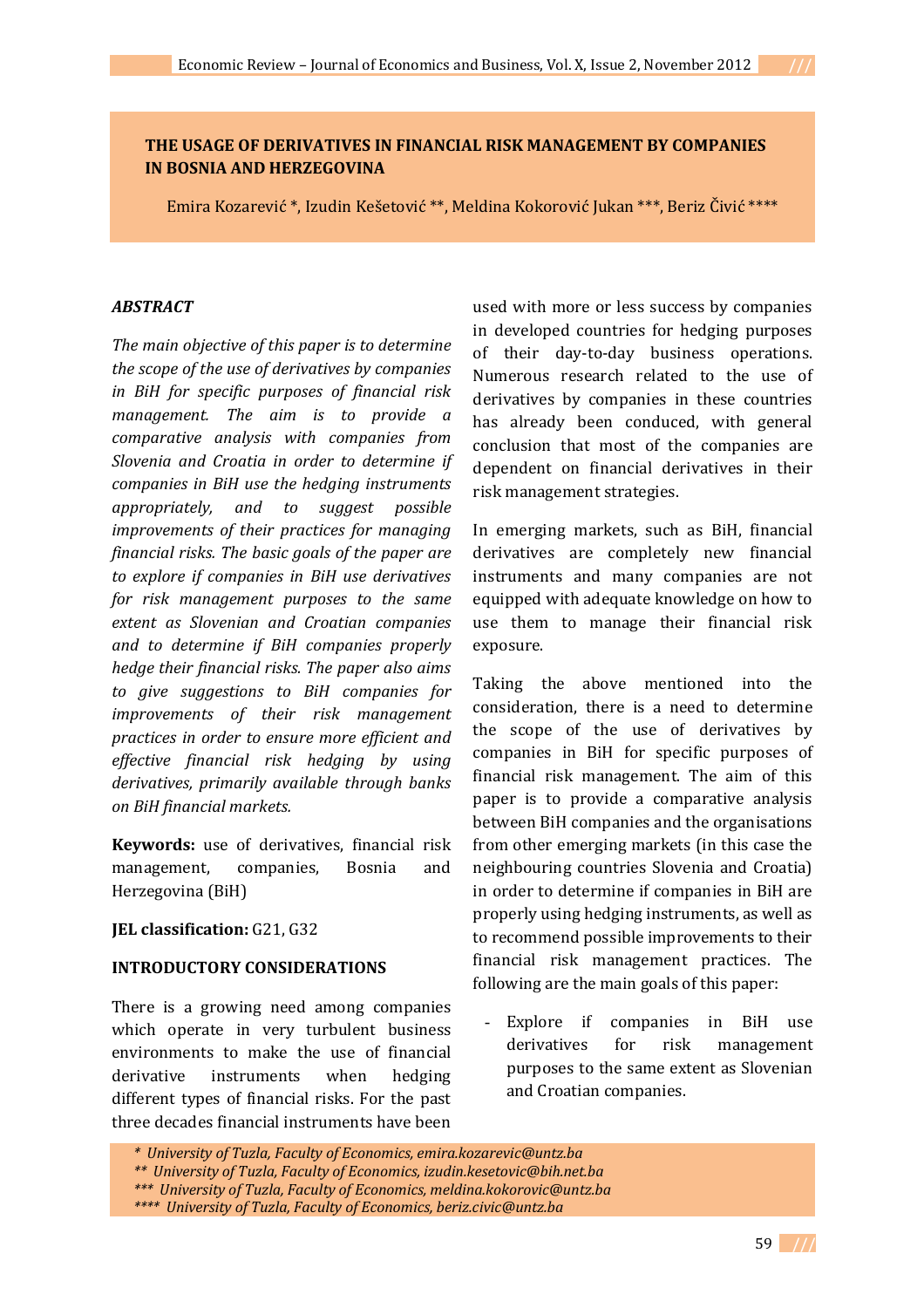Emira Kozarević \*, Izudin Kešetović \*\*, Meldina Kokorović Jukan \*\*\*, Beriz Čivić \*\*\*\*

#### *ABSTRACT*

*The main objective of this paper is to determine the scope of the use of derivatives by companies in BiH for specific purposes of financial risk management. The aim is to provide a comparative analysis with companies from Slovenia and Croatia in order to determine if companies in BiH use the hedging instruments appropriately, and to suggest possible improvements of their practices for managing financial risks. The basic goals of the paper are to explore if companies in BiH use derivatives for risk management purposes to the same extent as Slovenian and Croatian companies and to determine if BiH companies properly hedge their financial risks. The paper also aims to give suggestions to BiH companies for improvements of their risk management practices in order to ensure more efficient and effective financial risk hedging by using derivatives, primarily available through banks on BiH financial markets.*

**Keywords:** use of derivatives, financial risk management, companies, Bosnia and Herzegovina (BiH)

### **JEL classification:** G21, G32

#### **INTRODUCTORY CONSIDERATIONS**

There is a growing need among companies which operate in very turbulent business environments to make the use of financial derivative instruments when hedging different types of financial risks. For the past three decades financial instruments have been

used with more or less success by companies in developed countries for hedging purposes of their day-to-day business operations. Numerous research related to the use of derivatives by companies in these countries has already been conduced, with general conclusion that most of the companies are dependent on financial derivatives in their risk management strategies.

In emerging markets, such as BiH, financial derivatives are completely new financial instruments and many companies are not equipped with adequate knowledge on how to use them to manage their financial risk exposure.

Taking the above mentioned into the consideration, there is a need to determine the scope of the use of derivatives by companies in BiH for specific purposes of financial risk management. The aim of this paper is to provide a comparative analysis between BiH companies and the organisations from other emerging markets (in this case the neighbouring countries Slovenia and Croatia) in order to determine if companies in BiH are properly using hedging instruments, as well as to recommend possible improvements to their financial risk management practices. The following are the main goals of this paper:

Explore if companies in BiH use derivatives for risk management purposes to the same extent as Slovenian and Croatian companies.

*<sup>\*</sup> University of Tuzla, Faculty of Economics, emira.kozarevic@untz.ba*

*<sup>\*\*</sup> University of Tuzla, Faculty of Economics, izudin.kesetovic@bih.net.ba*

*<sup>\*\*\*</sup> University of Tuzla, Faculty of Economics, meldina.kokorovic@untz.ba*

*<sup>\*\*\*\*</sup> University of Tuzla, Faculty of Economics, beriz.civic@untz.ba*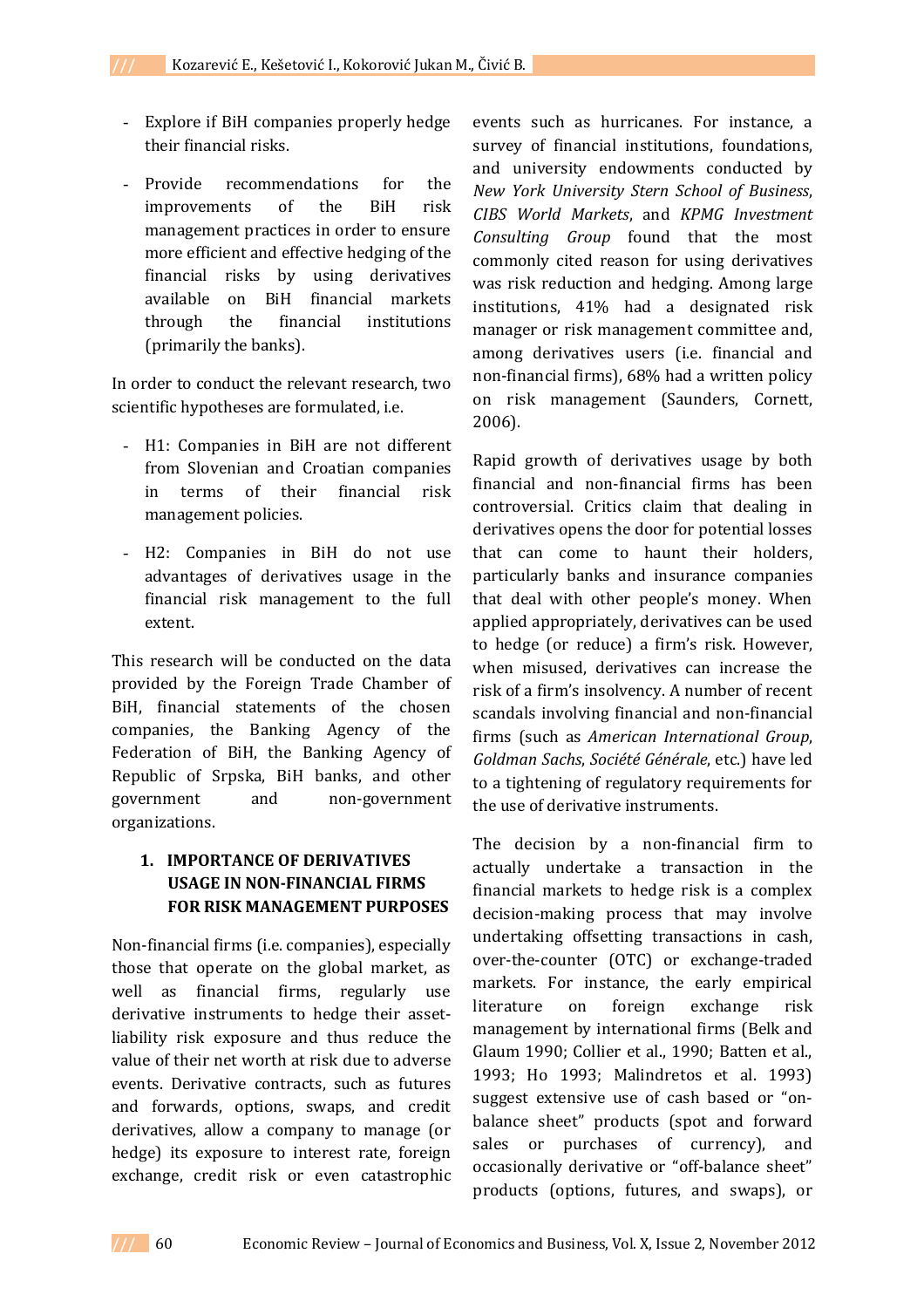- Explore if BiH companies properly hedge their financial risks.
- Provide recommendations for the improvements of the BiH risk management practices in order to ensure more efficient and effective hedging of the financial risks by using derivatives available on BiH financial markets through the financial institutions (primarily the banks).

In order to conduct the relevant research, two scientific hypotheses are formulated, i.e.

- H1: Companies in BiH are not different from Slovenian and Croatian companies in terms of their financial risk management policies.
- H2: Companies in BiH do not use advantages of derivatives usage in the financial risk management to the full extent.

This research will be conducted on the data provided by the Foreign Trade Chamber of BiH, financial statements of the chosen companies, the Banking Agency of the Federation of BiH, the Banking Agency of Republic of Srpska, BiH banks, and other government and non-government organizations.

# **1. IMPORTANCE OF DERIVATIVES USAGE IN NON-FINANCIAL FIRMS FOR RISK MANAGEMENT PURPOSES**

Non-financial firms (i.e. companies), especially those that operate on the global market, as well as financial firms, regularly use derivative instruments to hedge their assetliability risk exposure and thus reduce the value of their net worth at risk due to adverse events. Derivative contracts, such as futures and forwards, options, swaps, and credit derivatives, allow a company to manage (or hedge) its exposure to interest rate, foreign exchange, credit risk or even catastrophic events such as hurricanes. For instance, a survey of financial institutions, foundations, and university endowments conducted by *New York University Stern School of Business*, *CIBS World Markets*, and *KPMG Investment Consulting Group* found that the most commonly cited reason for using derivatives was risk reduction and hedging. Among large institutions, 41% had a designated risk manager or risk management committee and, among derivatives users (i.e. financial and non-financial firms), 68% had a written policy on risk management (Saunders, Cornett, 2006).

Rapid growth of derivatives usage by both financial and non-financial firms has been controversial. Critics claim that dealing in derivatives opens the door for potential losses that can come to haunt their holders, particularly banks and insurance companies that deal with other people's money. When applied appropriately, derivatives can be used to hedge (or reduce) a firm's risk. However, when misused, derivatives can increase the risk of a firm's insolvency. A number of recent scandals involving financial and non-financial firms (such as *American International Group*, *Goldman Sachs*, *Société Générale*, etc.) have led to a tightening of regulatory requirements for the use of derivative instruments.

The decision by a non-financial firm to actually undertake a transaction in the financial markets to hedge risk is a complex decision-making process that may involve undertaking offsetting transactions in cash, over-the-counter (OTC) or exchange-traded markets. For instance, the early empirical literature on foreign exchange risk management by international firms (Belk and Glaum 1990; Collier et al., 1990; Batten et al., 1993; Ho 1993; Malindretos et al. 1993) suggest extensive use of cash based or "onbalance sheet" products (spot and forward sales or purchases of currency), and occasionally derivative or "off-balance sheet" products (options, futures, and swaps), or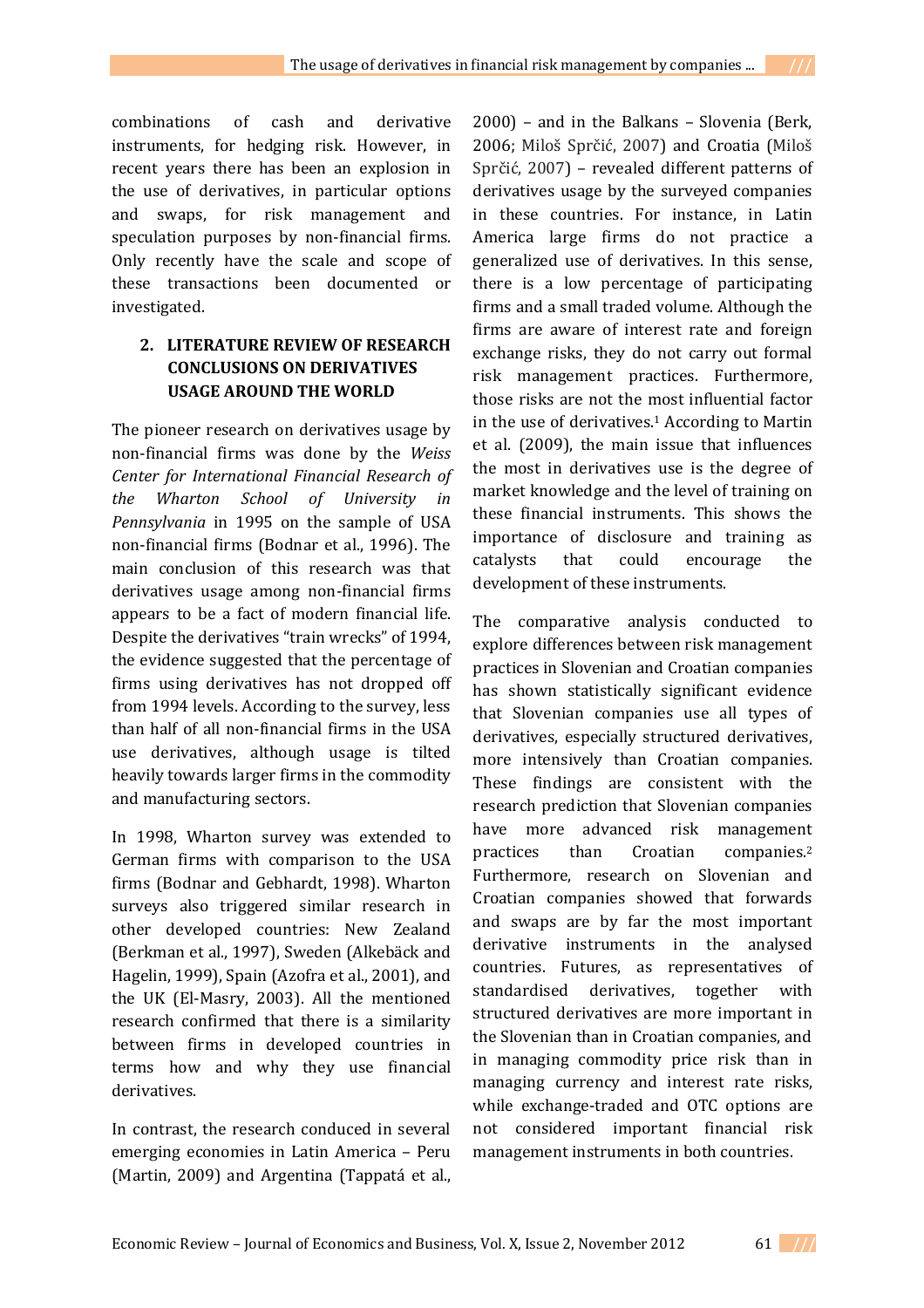combinations of cash and derivative instruments, for hedging risk. However, in recent years there has been an explosion in the use of derivatives, in particular options and swaps, for risk management and speculation purposes by non-financial firms. Only recently have the scale and scope of these transactions been documented or investigated.

## **2. LITERATURE REVIEW OF RESEARCH CONCLUSIONS ON DERIVATIVES USAGE AROUND THE WORLD**

The pioneer research on derivatives usage by non-financial firms was done by the *Weiss Center for International Financial Research of the Wharton School of University in Pennsylvania* in 1995 on the sample of USA non-financial firms (Bodnar et al., 1996). The main conclusion of this research was that derivatives usage among non-financial firms appears to be a fact of modern financial life. Despite the derivatives "train wrecks" of 1994, the evidence suggested that the percentage of firms using derivatives has not dropped off from 1994 levels. According to the survey, less than half of all non-financial firms in the USA use derivatives, although usage is tilted heavily towards larger firms in the commodity and manufacturing sectors.

In 1998, Wharton survey was extended to German firms with comparison to the USA firms (Bodnar and Gebhardt, 1998). Wharton surveys also triggered similar research in other developed countries: New Zealand (Berkman et al., 1997), Sweden (Alkebäck and Hagelin, 1999), Spain (Azofra et al., 2001), and the UK (El-Masry, 2003). All the mentioned research confirmed that there is a similarity between firms in developed countries in terms how and why they use financial derivatives.

In contrast, the research conduced in several emerging economies in Latin America – Peru (Martin, 2009) and Argentina (Tappatá et al.,

2000) – and in the Balkans – Slovenia (Berk, 2006; Miloš Sprčić, 2007) and Croatia (Miloš Sprčić, 2007) – revealed different patterns of derivatives usage by the surveyed companies in these countries. For instance, in Latin America large firms do not practice a generalized use of derivatives. In this sense, there is a low percentage of participating firms and a small traded volume. Although the firms are aware of interest rate and foreign exchange risks, they do not carry out formal risk management practices. Furthermore, those risks are not the most influential factor in the use of derivatives.<sup>1</sup> According to Martin et al. (2009), the main issue that influences the most in derivatives use is the degree of market knowledge and the level of training on these financial instruments. This shows the importance of disclosure and training as catalysts that could encourage the development of these instruments.

The comparative analysis conducted to explore differences between risk management practices in Slovenian and Croatian companies has shown statistically significant evidence that Slovenian companies use all types of derivatives, especially structured derivatives, more intensively than Croatian companies. These findings are consistent with the research prediction that Slovenian companies have more advanced risk management practices than Croatian companies.<sup>2</sup> Furthermore, research on Slovenian and Croatian companies showed that forwards and swaps are by far the most important derivative instruments in the analysed countries. Futures, as representatives of standardised derivatives, together with structured derivatives are more important in the Slovenian than in Croatian companies, and in managing commodity price risk than in managing currency and interest rate risks, while exchange-traded and OTC options are not considered important financial risk management instruments in both countries.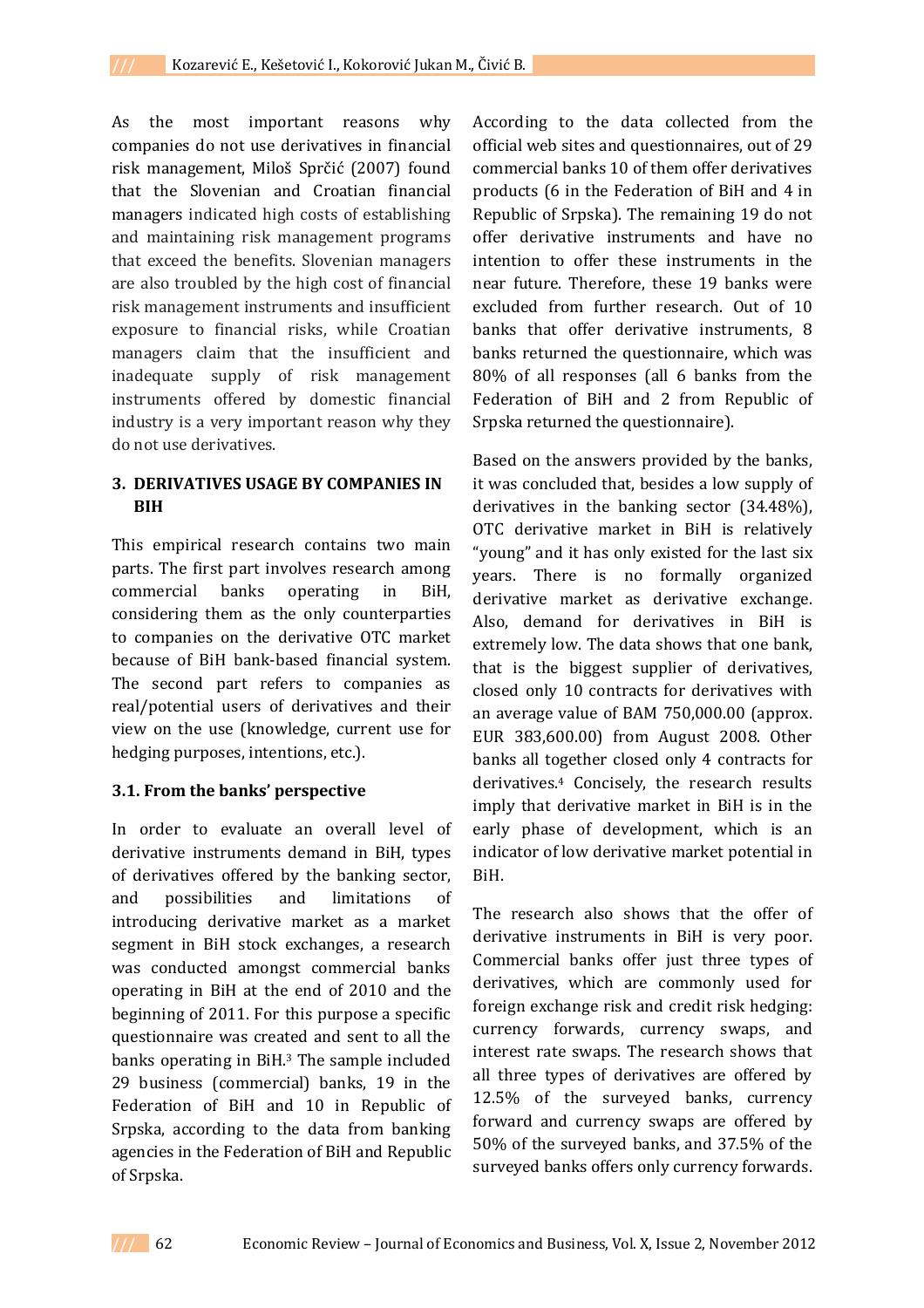As the most important reasons why companies do not use derivatives in financial risk management, Miloš Sprčić (2007) found that the Slovenian and Croatian financial managers indicated high costs of establishing and maintaining risk management programs that exceed the benefits. Slovenian managers are also troubled by the high cost of financial risk management instruments and insufficient exposure to financial risks, while Croatian managers claim that the insufficient and inadequate supply of risk management instruments offered by domestic financial industry is a very important reason why they do not use derivatives.

### **3. DERIVATIVES USAGE BY COMPANIES IN BIH**

This empirical research contains two main parts. The first part involves research among commercial banks operating in BiH, considering them as the only counterparties to companies on the derivative OTC market because of BiH bank-based financial system. The second part refers to companies as real/potential users of derivatives and their view on the use (knowledge, current use for hedging purposes, intentions, etc.).

### **3.1. From the banks' perspective**

In order to evaluate an overall level of derivative instruments demand in BiH, types of derivatives offered by the banking sector, and possibilities and limitations of introducing derivative market as a market segment in BiH stock exchanges, a research was conducted amongst commercial banks operating in BiH at the end of 2010 and the beginning of 2011. For this purpose a specific questionnaire was created and sent to all the banks operating in BiH.<sup>3</sup> The sample included 29 business (commercial) banks, 19 in the Federation of BiH and 10 in Republic of Srpska, according to the data from banking agencies in the Federation of BiH and Republic of Srpska.

According to the data collected from the official web sites and questionnaires, out of 29 commercial banks 10 of them offer derivatives products (6 in the Federation of BiH and 4 in Republic of Srpska). The remaining 19 do not offer derivative instruments and have no intention to offer these instruments in the near future. Therefore, these 19 banks were excluded from further research. Out of 10 banks that offer derivative instruments, 8 banks returned the questionnaire, which was 80% of all responses (all 6 banks from the Federation of BiH and 2 from Republic of Srpska returned the questionnaire).

Based on the answers provided by the banks, it was concluded that, besides a low supply of derivatives in the banking sector (34.48%), OTC derivative market in BiH is relatively "young" and it has only existed for the last six years. There is no formally organized derivative market as derivative exchange. Also, demand for derivatives in BiH is extremely low. The data shows that one bank, that is the biggest supplier of derivatives, closed only 10 contracts for derivatives with an average value of BAM 750,000.00 (approx. EUR 383,600.00) from August 2008. Other banks all together closed only 4 contracts for derivatives.<sup>4</sup> Concisely, the research results imply that derivative market in BiH is in the early phase of development, which is an indicator of low derivative market potential in BiH.

The research also shows that the offer of derivative instruments in BiH is very poor. Commercial banks offer just three types of derivatives, which are commonly used for foreign exchange risk and credit risk hedging: currency forwards, currency swaps, and interest rate swaps. The research shows that all three types of derivatives are offered by 12.5% of the surveyed banks, currency forward and currency swaps are offered by 50% of the surveyed banks, and 37.5% of the surveyed banks offers only currency forwards.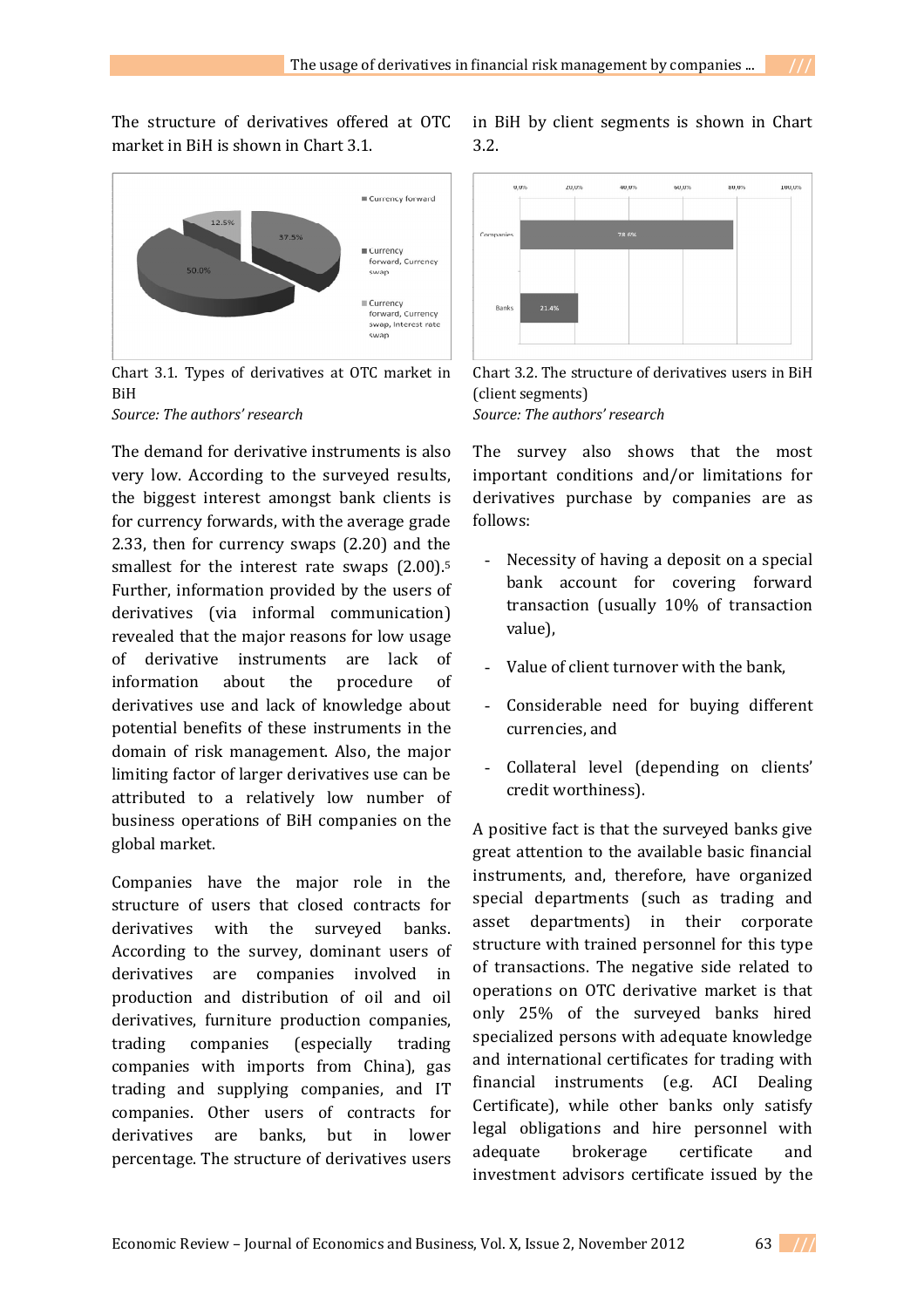The structure of derivatives offered at OTC market in BiH is shown in Chart 3.1.



Chart 3.1. Types of derivatives at OTC market in BiH

*Source: The authors' research* 

The demand for derivative instruments is also very low. According to the surveyed results, the biggest interest amongst bank clients is for currency forwards, with the average grade 2.33, then for currency swaps (2.20) and the smallest for the interest rate swaps  $(2.00).5$ Further, information provided by the users of derivatives (via informal communication) revealed that the major reasons for low usage of derivative instruments are lack of information about the procedure of derivatives use and lack of knowledge about potential benefits of these instruments in the domain of risk management. Also, the major limiting factor of larger derivatives use can be attributed to a relatively low number of business operations of BiH companies on the global market.

Companies have the major role in the structure of users that closed contracts for derivatives with the surveyed banks. According to the survey, dominant users of derivatives are companies involved in production and distribution of oil and oil derivatives, furniture production companies, trading companies (especially trading companies with imports from China), gas trading and supplying companies, and IT companies. Other users of contracts for derivatives are banks, but in lower percentage. The structure of derivatives users

in BiH by client segments is shown in Chart 3.2.





The survey also shows that the most important conditions and/or limitations for derivatives purchase by companies are as follows:

- Necessity of having a deposit on a special bank account for covering forward transaction (usually 10% of transaction value),
- Value of client turnover with the bank,
- Considerable need for buying different currencies, and
- Collateral level (depending on clients' credit worthiness).

A positive fact is that the surveyed banks give great attention to the available basic financial instruments, and, therefore, have organized special departments (such as trading and asset departments) in their corporate structure with trained personnel for this type of transactions. The negative side related to operations on OTC derivative market is that only 25% of the surveyed banks hired specialized persons with adequate knowledge and international certificates for trading with financial instruments (e.g. ACI Dealing Certificate), while other banks only satisfy legal obligations and hire personnel with adequate brokerage certificate and investment advisors certificate issued by the

Economic Review – Journal of Economics and Business, Vol. X, Issue 2, November 2012 63 **///**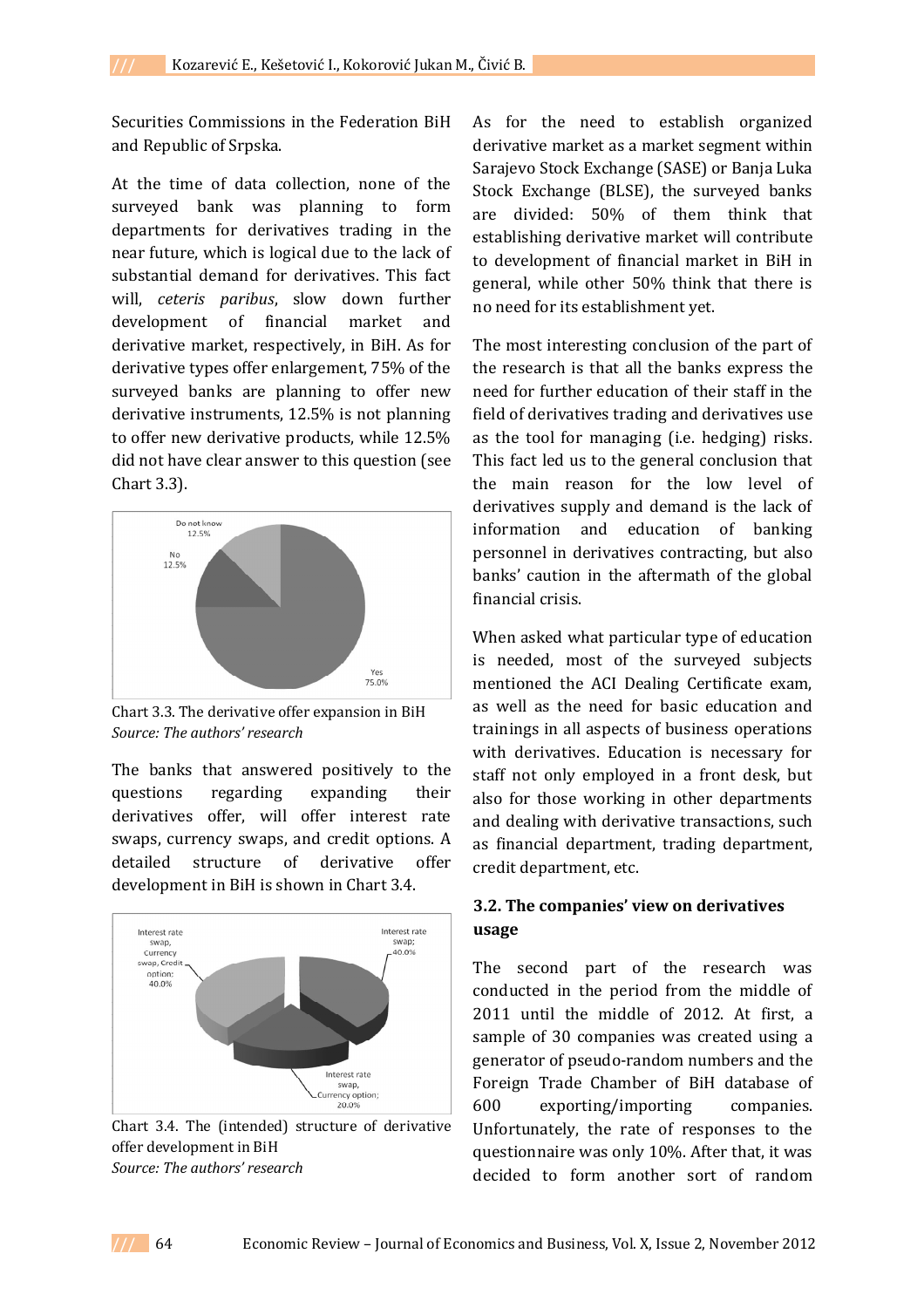Securities Commissions in the Federation BiH and Republic of Srpska.

At the time of data collection, none of the surveyed bank was planning to form departments for derivatives trading in the near future, which is logical due to the lack of substantial demand for derivatives. This fact will, *ceteris paribus*, slow down further development of financial market and derivative market, respectively, in BiH. As for derivative types offer enlargement, 75% of the surveyed banks are planning to offer new derivative instruments, 12.5% is not planning to offer new derivative products, while 12.5% did not have clear answer to this question (see Chart 3.3).



Chart 3.3. The derivative offer expansion in BiH *Source: The authors' research*

The banks that answered positively to the questions regarding expanding their derivatives offer, will offer interest rate swaps, currency swaps, and credit options. A detailed structure of derivative offer development in BiH is shown in Chart 3.4.



Chart 3.4. The (intended) structure of derivative offer development in BiH *Source: The authors' research*

As for the need to establish organized derivative market as a market segment within Sarajevo Stock Exchange (SASE) or Banja Luka Stock Exchange (BLSE), the surveyed banks are divided: 50% of them think that establishing derivative market will contribute to development of financial market in BiH in general, while other 50% think that there is no need for its establishment yet.

The most interesting conclusion of the part of the research is that all the banks express the need for further education of their staff in the field of derivatives trading and derivatives use as the tool for managing (i.e. hedging) risks. This fact led us to the general conclusion that the main reason for the low level of derivatives supply and demand is the lack of information and education of banking personnel in derivatives contracting, but also banks' caution in the aftermath of the global financial crisis.

When asked what particular type of education is needed, most of the surveyed subjects mentioned the ACI Dealing Certificate exam, as well as the need for basic education and trainings in all aspects of business operations with derivatives. Education is necessary for staff not only employed in a front desk, but also for those working in other departments and dealing with derivative transactions, such as financial department, trading department, credit department, etc.

### **3.2. The companies' view on derivatives usage**

The second part of the research was conducted in the period from the middle of 2011 until the middle of 2012. At first, a sample of 30 companies was created using a generator of pseudo-random numbers and the Foreign Trade Chamber of BiH database of 600 exporting/importing companies. Unfortunately, the rate of responses to the questionnaire was only 10%. After that, it was decided to form another sort of random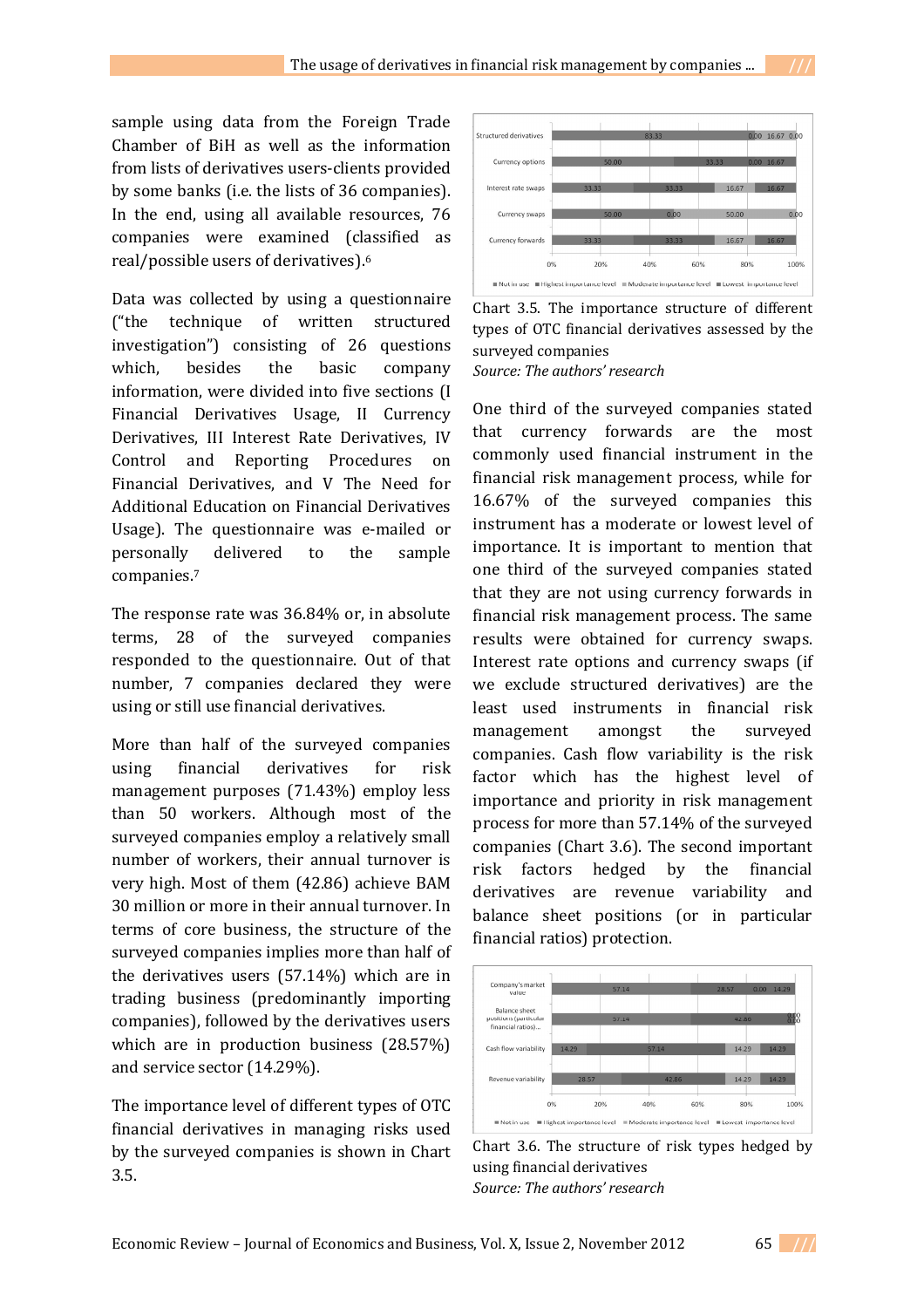sample using data from the Foreign Trade Chamber of BiH as well as the information from lists of derivatives users-clients provided by some banks (i.e. the lists of 36 companies). In the end, using all available resources, 76 companies were examined (classified as real/possible users of derivatives).<sup>6</sup>

Data was collected by using a questionnaire ("the technique of written structured investigation") consisting of 26 questions which, besides the basic company information, were divided into five sections (I Financial Derivatives Usage, II Currency Derivatives, III Interest Rate Derivatives, IV Control and Reporting Procedures on Financial Derivatives, and V The Need for Additional Education on Financial Derivatives Usage). The questionnaire was e-mailed or personally delivered to the sample companies.<sup>7</sup>

The response rate was 36.84% or, in absolute terms, 28 of the surveyed companies responded to the questionnaire. Out of that number, 7 companies declared they were using or still use financial derivatives.

More than half of the surveyed companies using financial derivatives for risk management purposes (71.43%) employ less than 50 workers. Although most of the surveyed companies employ a relatively small number of workers, their annual turnover is very high. Most of them (42.86) achieve BAM 30 million or more in their annual turnover. In terms of core business, the structure of the surveyed companies implies more than half of the derivatives users (57.14%) which are in trading business (predominantly importing companies), followed by the derivatives users which are in production business (28.57%) and service sector (14.29%).

The importance level of different types of OTC financial derivatives in managing risks used by the surveyed companies is shown in Chart 3.5.



Chart 3.5. The importance structure of different types of OTC financial derivatives assessed by the surveyed companies *Source: The authors' research*

One third of the surveyed companies stated that currency forwards are the most commonly used financial instrument in the financial risk management process, while for 16.67% of the surveyed companies this instrument has a moderate or lowest level of importance. It is important to mention that one third of the surveyed companies stated that they are not using currency forwards in financial risk management process. The same results were obtained for currency swaps. Interest rate options and currency swaps (if we exclude structured derivatives) are the least used instruments in financial risk management amongst the surveyed companies. Cash flow variability is the risk factor which has the highest level of importance and priority in risk management process for more than 57.14% of the surveyed companies (Chart 3.6). The second important risk factors hedged by the financial derivatives are revenue variability and balance sheet positions (or in particular financial ratios) protection.



Chart 3.6. The structure of risk types hedged by using financial derivatives *Source: The authors' research*

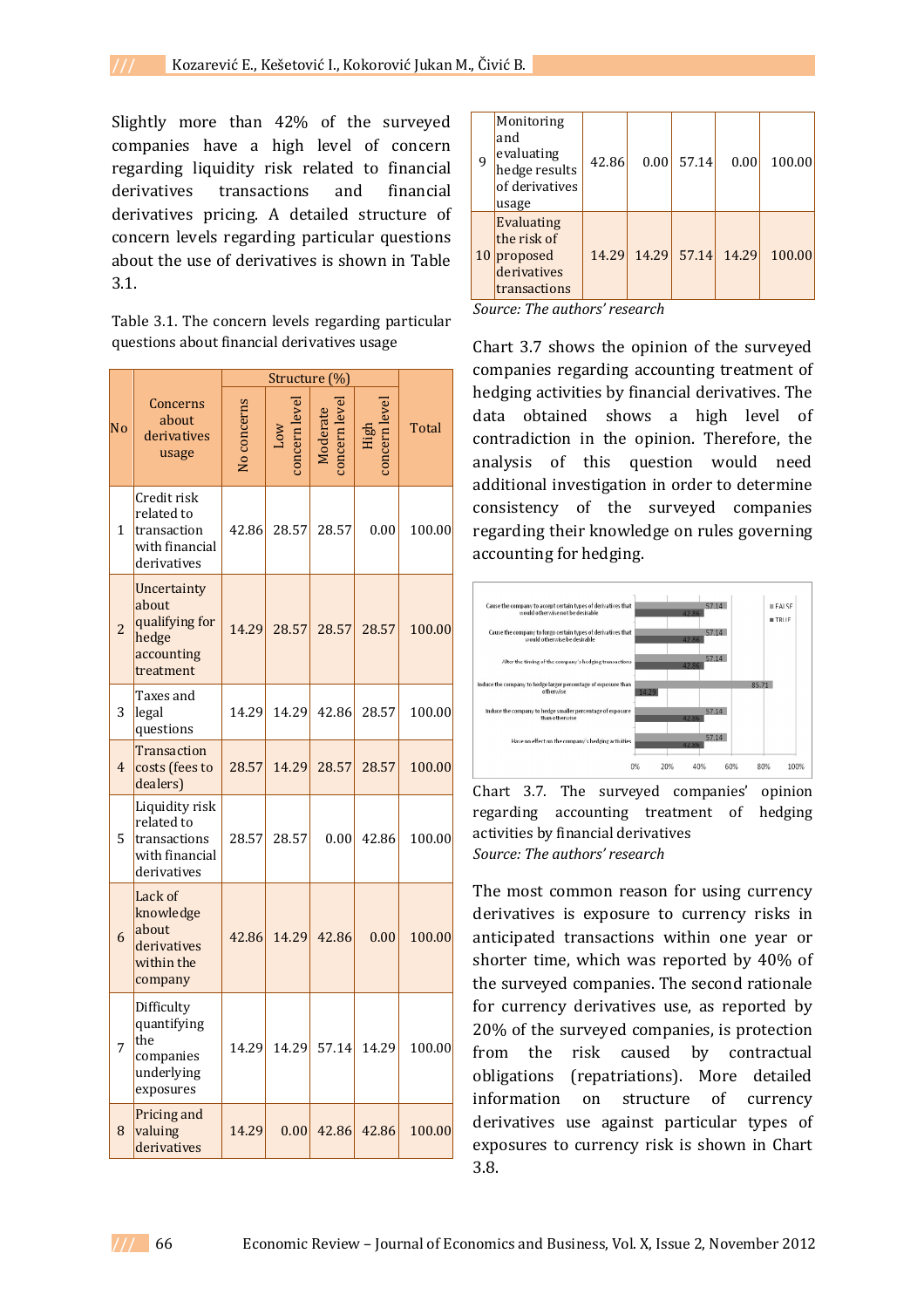Slightly more than 42% of the surveyed companies have a high level of concern regarding liquidity risk related to financial derivatives transactions and financial derivatives pricing. A detailed structure of concern levels regarding particular questions about the use of derivatives is shown in Table 3.1.

Table 3.1. The concern levels regarding particular questions about financial derivatives usage

|                |                                                                               | Structure (%) |                      |        |                     |        |
|----------------|-------------------------------------------------------------------------------|---------------|----------------------|--------|---------------------|--------|
| N <sub>o</sub> | Concerns<br>about<br>derivatives<br>usage                                     | No concerns   | <b>MOT</b><br>oncern | oncern | oncern leve<br>High | Total  |
| $\mathbf{1}$   | Credit risk<br>related to<br>transaction<br>with financial<br>derivatives     | 42.86         | 28.57                | 28.57  | 0.00                | 100.00 |
| $\overline{c}$ | Uncertainty<br>about<br>qualifying for<br>hedge<br>accounting<br>treatment    | 14.29         | 28.57                | 28.57  | 28.57               | 100.00 |
| 3              | Taxes and<br>legal<br>questions                                               | 14.29         | 14.29                | 42.86  | 28.57               | 100.00 |
| $\overline{4}$ | Transaction<br>costs (fees to<br>dealers)                                     | 28.57         | 14.29                | 28.57  | 28.57               | 100.00 |
| 5              | Liquidity risk<br>related to<br>transactions<br>with financial<br>derivatives | 28.57         | 28.57                | 0.00   | 42.86               | 100.00 |
| 6              | Lack of<br>knowledge<br>about<br>derivatives<br>within the<br>company         | 42.86         | 14.29                | 42.86  | 0.00                | 100.00 |
| 7              | Difficulty<br>quantifying<br>the<br>companies<br>underlying<br>exposures      | 14.29         | 14.29                | 57.14  | 14.29               | 100.00 |
| 8              | Pricing and<br>valuing<br>derivatives                                         | 14.29         | 0.00                 | 42.86  | 42.86               | 100.00 |

| 9  | Monitoring<br>and<br>evaluating<br>hedge results<br>of derivatives<br>usage | 42.86 |                         | $0.00$ 57.14 | 0.00 | 100.00 |
|----|-----------------------------------------------------------------------------|-------|-------------------------|--------------|------|--------|
| 10 | <b>Evaluating</b><br>the risk of<br>proposed<br>derivatives<br>transactions |       | 14.29 14.29 57.14 14.29 |              |      | 100.00 |

*Source: The authors' research*

Chart 3.7 shows the opinion of the surveyed companies regarding accounting treatment of hedging activities by financial derivatives. The data obtained shows a high level of contradiction in the opinion. Therefore, the analysis of this question would need additional investigation in order to determine consistency of the surveyed companies regarding their knowledge on rules governing accounting for hedging.



Chart 3.7. The surveyed companies' opinion regarding accounting treatment of hedging activities by financial derivatives *Source: The authors' research*

The most common reason for using currency derivatives is exposure to currency risks in anticipated transactions within one year or shorter time, which was reported by 40% of the surveyed companies. The second rationale for currency derivatives use, as reported by 20% of the surveyed companies, is protection from the risk caused by contractual obligations (repatriations). More detailed information on structure of currency derivatives use against particular types of exposures to currency risk is shown in Chart 3.8.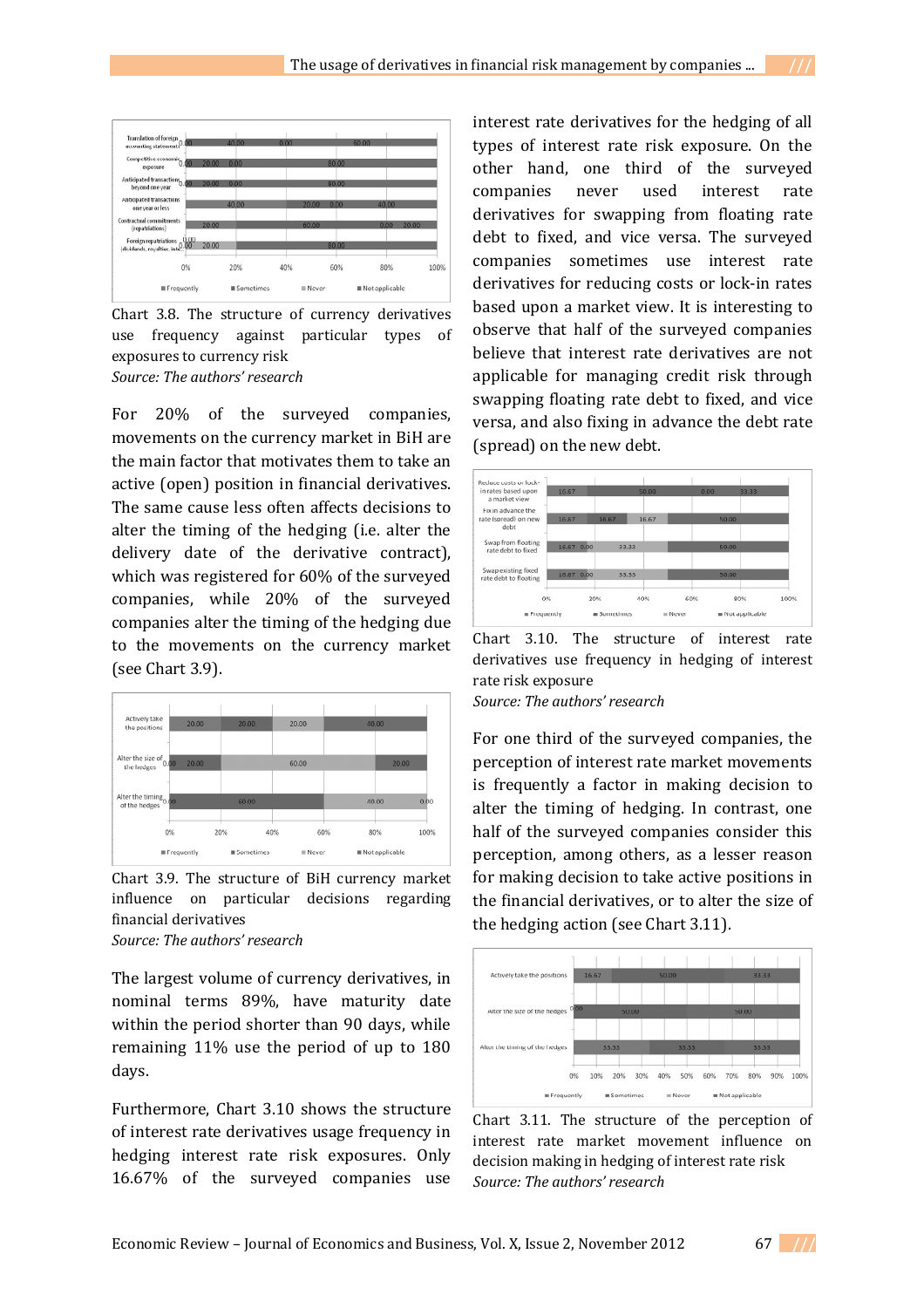

Chart 3.8. The structure of currency derivatives use frequency against particular types of exposures to currency risk *Source: The authors' research*

For 20% of the surveyed companies, movements on the currency market in BiH are the main factor that motivates them to take an active (open) position in financial derivatives. The same cause less often affects decisions to alter the timing of the hedging (i.e. alter the delivery date of the derivative contract), which was registered for 60% of the surveyed companies, while 20% of the surveyed companies alter the timing of the hedging due to the movements on the currency market (see Chart 3.9).



Chart 3.9. The structure of BiH currency market influence on particular decisions regarding financial derivatives *Source: The authors' research*

The largest volume of currency derivatives, in nominal terms 89%, have maturity date within the period shorter than 90 days, while remaining 11% use the period of up to 180 days.

Furthermore, Chart 3.10 shows the structure of interest rate derivatives usage frequency in hedging interest rate risk exposures. Only 16.67% of the surveyed companies use

interest rate derivatives for the hedging of all types of interest rate risk exposure. On the other hand, one third of the surveyed companies never used interest rate derivatives for swapping from floating rate debt to fixed, and vice versa. The surveyed companies sometimes use interest rate derivatives for reducing costs or lock-in rates based upon a market view. It is interesting to observe that half of the surveyed companies believe that interest rate derivatives are not applicable for managing credit risk through swapping floating rate debt to fixed, and vice versa, and also fixing in advance the debt rate (spread) on the new debt.



Chart 3.10. The structure of interest rate derivatives use frequency in hedging of interest rate risk exposure

*Source: The authors' research*

For one third of the surveyed companies, the perception of interest rate market movements is frequently a factor in making decision to alter the timing of hedging. In contrast, one half of the surveyed companies consider this perception, among others, as a lesser reason for making decision to take active positions in the financial derivatives, or to alter the size of the hedging action (see Chart 3.11).



Chart 3.11. The structure of the perception of interest rate market movement influence on decision making in hedging of interest rate risk *Source: The authors' research*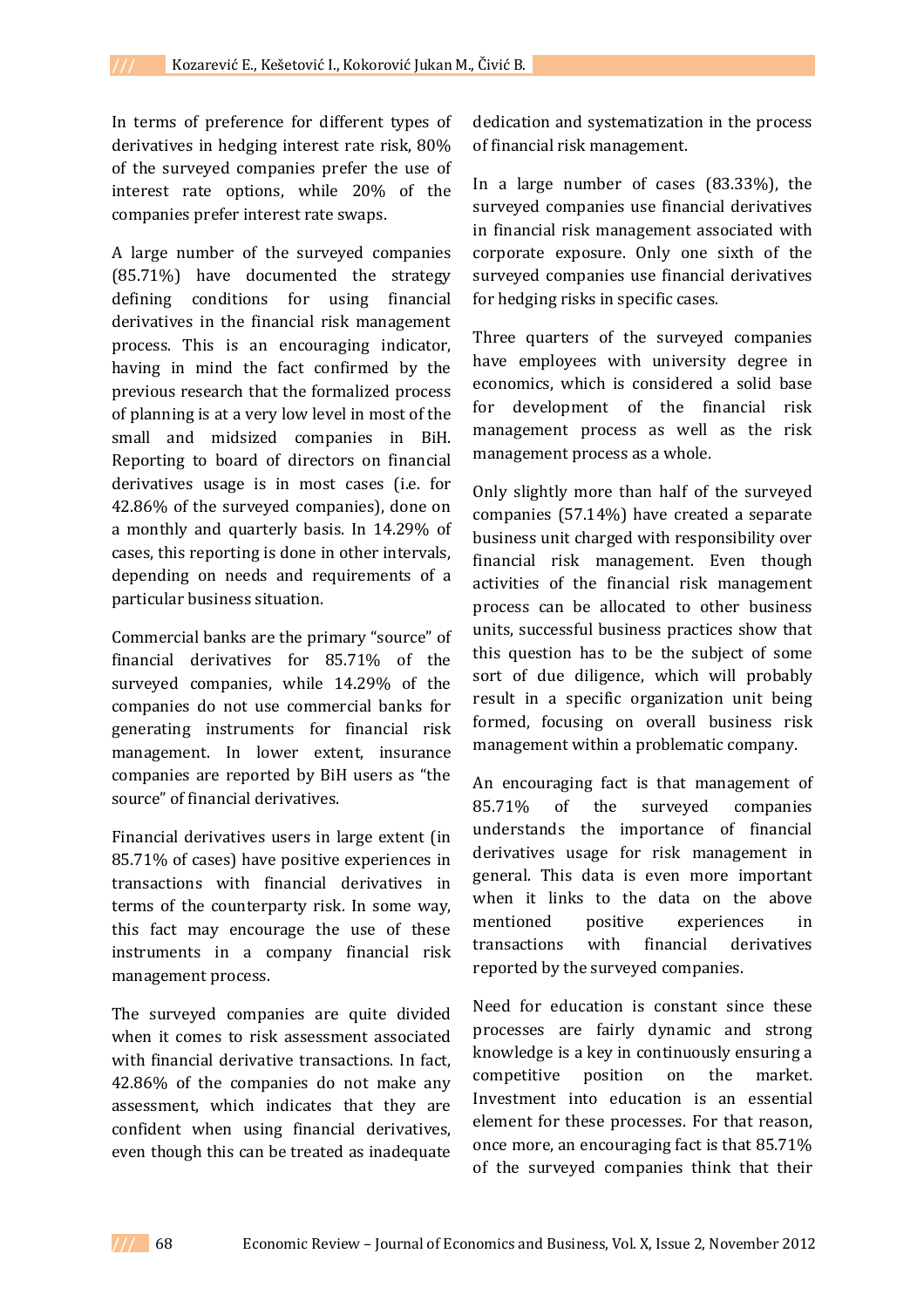In terms of preference for different types of derivatives in hedging interest rate risk, 80% of the surveyed companies prefer the use of interest rate options, while 20% of the companies prefer interest rate swaps.

A large number of the surveyed companies (85.71%) have documented the strategy defining conditions for using financial derivatives in the financial risk management process. This is an encouraging indicator, having in mind the fact confirmed by the previous research that the formalized process of planning is at a very low level in most of the small and midsized companies in BiH. Reporting to board of directors on financial derivatives usage is in most cases (i.e. for 42.86% of the surveyed companies), done on a monthly and quarterly basis. In 14.29% of cases, this reporting is done in other intervals, depending on needs and requirements of a particular business situation.

Commercial banks are the primary "source" of financial derivatives for 85.71% of the surveyed companies, while 14.29% of the companies do not use commercial banks for generating instruments for financial risk management. In lower extent, insurance companies are reported by BiH users as "the source" of financial derivatives.

Financial derivatives users in large extent (in 85.71% of cases) have positive experiences in transactions with financial derivatives in terms of the counterparty risk. In some way, this fact may encourage the use of these instruments in a company financial risk management process.

The surveyed companies are quite divided when it comes to risk assessment associated with financial derivative transactions. In fact, 42.86% of the companies do not make any assessment, which indicates that they are confident when using financial derivatives, even though this can be treated as inadequate

dedication and systematization in the process of financial risk management.

In a large number of cases (83.33%), the surveyed companies use financial derivatives in financial risk management associated with corporate exposure. Only one sixth of the surveyed companies use financial derivatives for hedging risks in specific cases.

Three quarters of the surveyed companies have employees with university degree in economics, which is considered a solid base for development of the financial risk management process as well as the risk management process as a whole.

Only slightly more than half of the surveyed companies (57.14%) have created a separate business unit charged with responsibility over financial risk management. Even though activities of the financial risk management process can be allocated to other business units, successful business practices show that this question has to be the subject of some sort of due diligence, which will probably result in a specific organization unit being formed, focusing on overall business risk management within a problematic company.

An encouraging fact is that management of 85.71% of the surveyed companies understands the importance of financial derivatives usage for risk management in general. This data is even more important when it links to the data on the above mentioned positive experiences in transactions with financial derivatives reported by the surveyed companies.

Need for education is constant since these processes are fairly dynamic and strong knowledge is a key in continuously ensuring a competitive position on the market. Investment into education is an essential element for these processes. For that reason, once more, an encouraging fact is that 85.71% of the surveyed companies think that their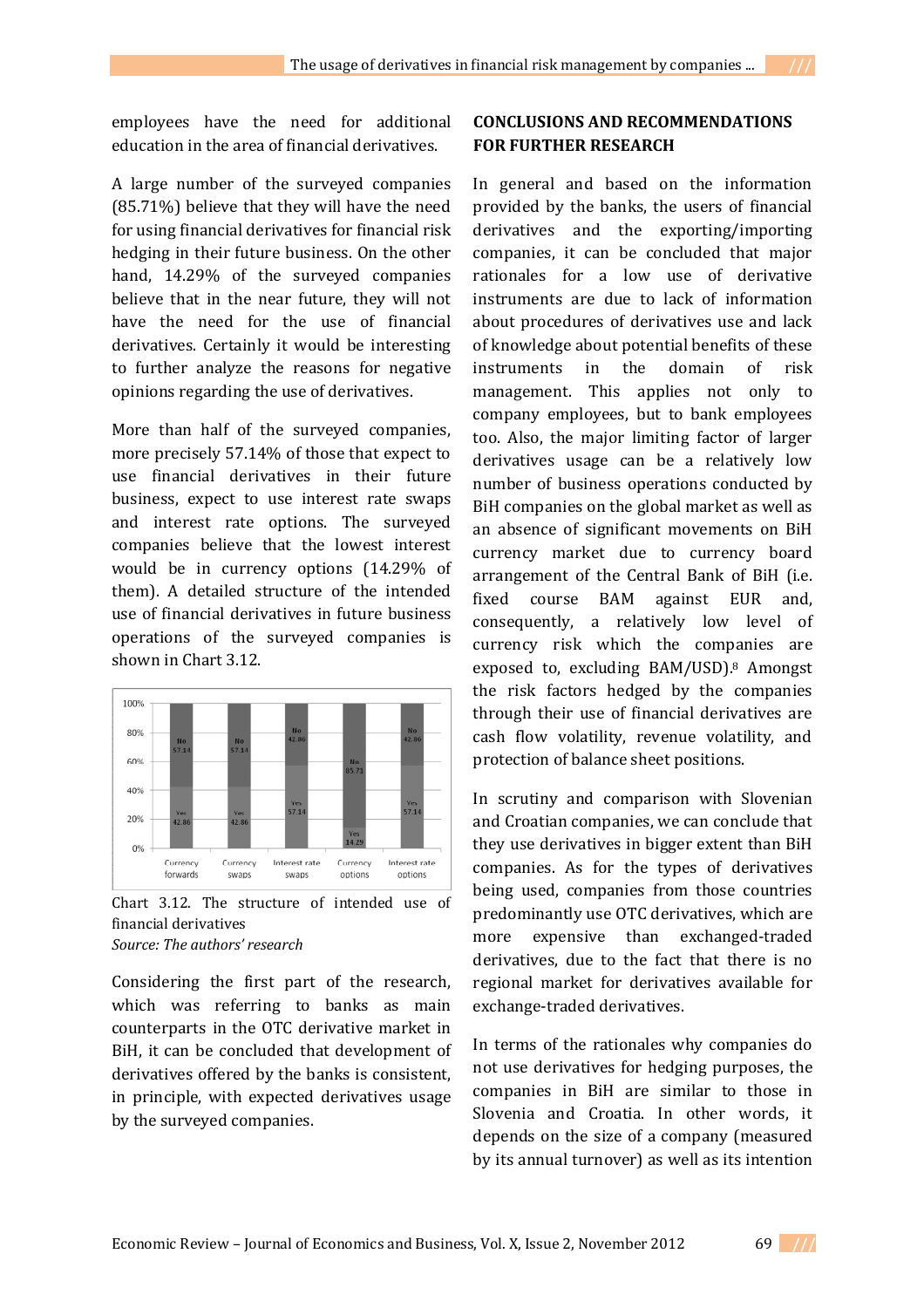employees have the need for additional education in the area of financial derivatives.

A large number of the surveyed companies (85.71%) believe that they will have the need for using financial derivatives for financial risk hedging in their future business. On the other hand, 14.29% of the surveyed companies believe that in the near future, they will not have the need for the use of financial derivatives. Certainly it would be interesting to further analyze the reasons for negative opinions regarding the use of derivatives.

More than half of the surveyed companies, more precisely 57.14% of those that expect to use financial derivatives in their future business, expect to use interest rate swaps and interest rate options. The surveyed companies believe that the lowest interest would be in currency options (14.29% of them). A detailed structure of the intended use of financial derivatives in future business operations of the surveyed companies is shown in Chart 3.12.



Chart 3.12. The structure of intended use of financial derivatives *Source: The authors' research*

Considering the first part of the research, which was referring to banks as main counterparts in the OTC derivative market in BiH, it can be concluded that development of derivatives offered by the banks is consistent, in principle, with expected derivatives usage by the surveyed companies.

### **CONCLUSIONS AND RECOMMENDATIONS FOR FURTHER RESEARCH**

In general and based on the information provided by the banks, the users of financial derivatives and the exporting/importing companies, it can be concluded that major rationales for a low use of derivative instruments are due to lack of information about procedures of derivatives use and lack of knowledge about potential benefits of these instruments in the domain of risk management. This applies not only to company employees, but to bank employees too. Also, the major limiting factor of larger derivatives usage can be a relatively low number of business operations conducted by BiH companies on the global market as well as an absence of significant movements on BiH currency market due to currency board arrangement of the Central Bank of BiH (i.e. fixed course BAM against EUR and, consequently, a relatively low level of currency risk which the companies are exposed to, excluding BAM/USD).<sup>8</sup> Amongst the risk factors hedged by the companies through their use of financial derivatives are cash flow volatility, revenue volatility, and protection of balance sheet positions.

In scrutiny and comparison with Slovenian and Croatian companies, we can conclude that they use derivatives in bigger extent than BiH companies. As for the types of derivatives being used, companies from those countries predominantly use OTC derivatives, which are more expensive than exchanged-traded derivatives, due to the fact that there is no regional market for derivatives available for exchange-traded derivatives.

In terms of the rationales why companies do not use derivatives for hedging purposes, the companies in BiH are similar to those in Slovenia and Croatia. In other words, it depends on the size of a company (measured by its annual turnover) as well as its intention

Economic Review – Journal of Economics and Business, Vol. X, Issue 2, November 2012 69 **///**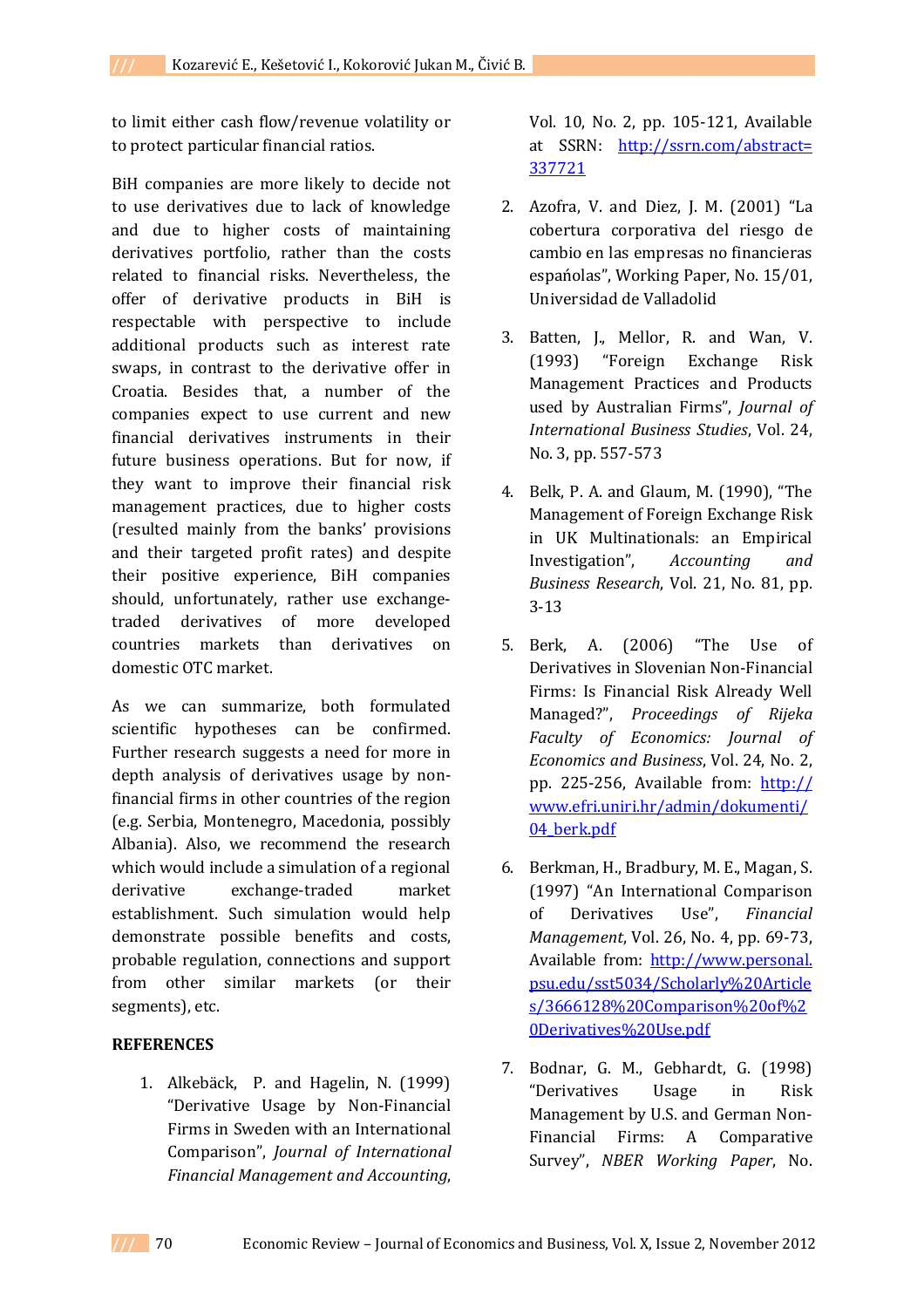to limit either cash flow/revenue volatility or to protect particular financial ratios.

BiH companies are more likely to decide not to use derivatives due to lack of knowledge and due to higher costs of maintaining derivatives portfolio, rather than the costs related to financial risks. Nevertheless, the offer of derivative products in BiH is respectable with perspective to include additional products such as interest rate swaps, in contrast to the derivative offer in Croatia. Besides that, a number of the companies expect to use current and new financial derivatives instruments in their future business operations. But for now, if they want to improve their financial risk management practices, due to higher costs (resulted mainly from the banks' provisions and their targeted profit rates) and despite their positive experience, BiH companies should, unfortunately, rather use exchangetraded derivatives of more developed countries markets than derivatives on domestic OTC market.

As we can summarize, both formulated scientific hypotheses can be confirmed. Further research suggests a need for more in depth analysis of derivatives usage by nonfinancial firms in other countries of the region (e.g. Serbia, Montenegro, Macedonia, possibly Albania). Also, we recommend the research which would include a simulation of a regional derivative exchange-traded market establishment. Such simulation would help demonstrate possible benefits and costs, probable regulation, connections and support from other similar markets (or their segments), etc.

#### **REFERENCES**

1. Alkebäck, P. and Hagelin, N. (1999) "Derivative Usage by Non-Financial Firms in Sweden with an International Comparison", *Journal of International Financial Management and Accounting*,

Vol. 10, No. 2, pp. 105-121, Available at SSRN: http://ssrn.com/abstract= 337721

- 2. Azofra, V. and Diez, J. M. (2001) "La cobertura corporativa del riesgo de cambio en las empresas no financieras espańolas", Working Paper, No. 15/01, Universidad de Valladolid
- 3. Batten, J., Mellor, R. and Wan, V. (1993) "Foreign Exchange Risk Management Practices and Products used by Australian Firms", *Journal of International Business Studies*, Vol. 24, No. 3, pp. 557-573
- 4. Belk, P. A. and Glaum, M. (1990), "The Management of Foreign Exchange Risk in UK Multinationals: an Empirical Investigation", *Accounting and Business Research*, Vol. 21, No. 81, pp. 3-13
- 5. Berk, A. (2006) "The Use of Derivatives in Slovenian Non-Financial Firms: Is Financial Risk Already Well Managed?", *Proceedings of Rijeka Faculty of Economics: Journal of Economics and Business*, Vol. 24, No. 2, pp. 225-256, Available from: http:// www.efri.uniri.hr/admin/dokumenti/ 04 berk.pdf
- 6. Berkman, H., Bradbury, M. E., Magan, S. (1997) "An International Comparison of Derivatives Use", *Financial Management*, Vol. 26, No. 4, pp. 69-73, Available from: http://www.personal. psu.edu/sst5034/Scholarly%20Article s/3666128%20Comparison%20of%2 0Derivatives%20Use.pdf
- 7. Bodnar, G. M., Gebhardt, G. (1998) "Derivatives Usage in Risk Management by U.S. and German Non-Financial Firms: A Comparative Survey", *NBER Working Paper*, No.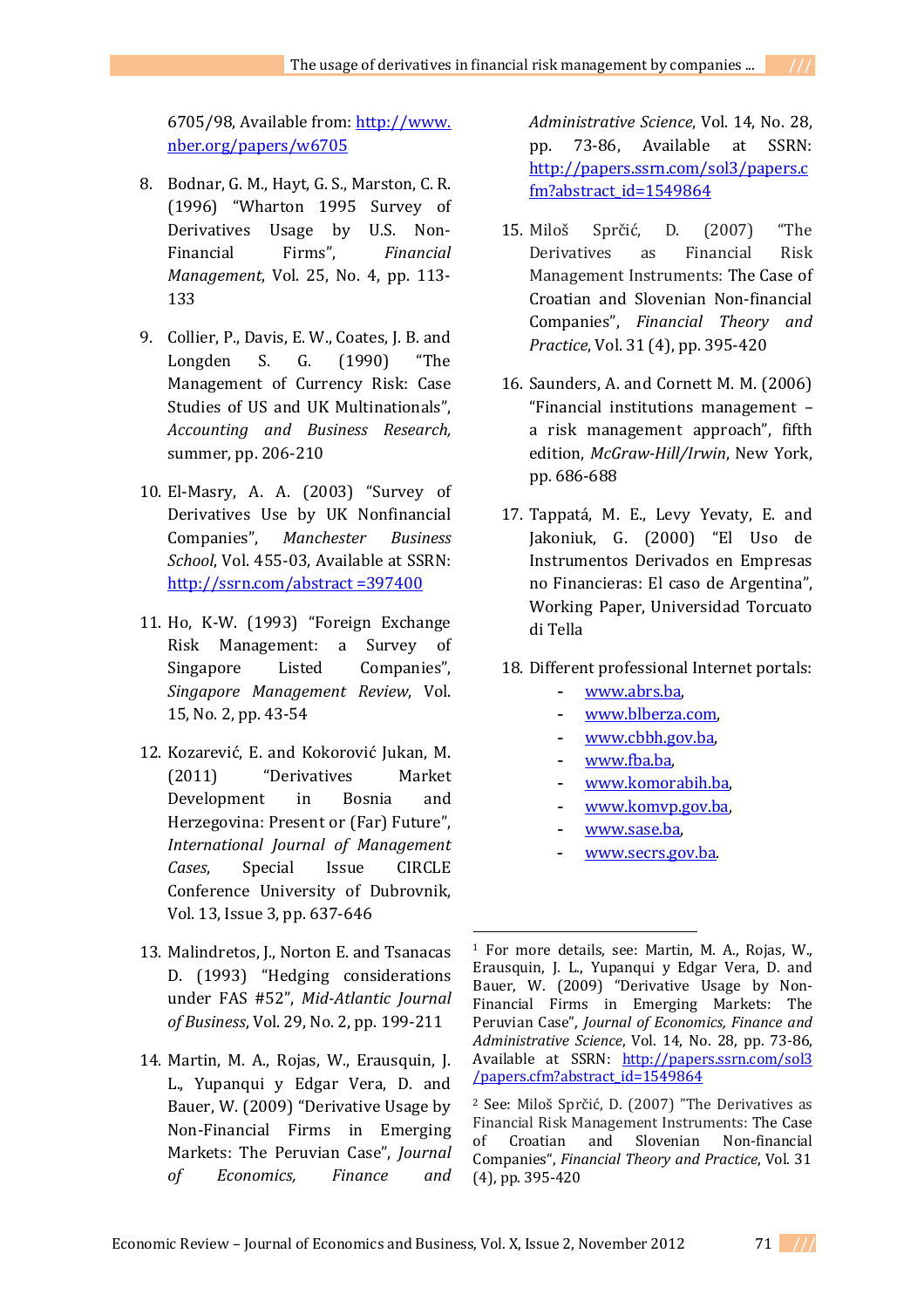6705/98, Available from: http://www. nber.org/papers/w6705

- 8. Bodnar, G. M., Hayt, G. S., Marston, C. R. (1996) "Wharton 1995 Survey of Derivatives Usage by U.S. Non-Financial Firms", *Financial Management*, Vol. 25, No. 4, pp. 113- 133
- 9. Collier, P., Davis, E. W., Coates, J. B. and Longden S. G. (1990) "The Management of Currency Risk: Case Studies of US and UK Multinationals", *Accounting and Business Research,*  summer, pp. 206-210
- 10. El-Masry, A. A. (2003) "Survey of Derivatives Use by UK Nonfinancial Companies", *Manchester Business School*, Vol. 455-03, Available at SSRN: http://ssrn.com/abstract =397400
- 11. Ho, K-W. (1993) "Foreign Exchange Risk Management: a Survey of Singapore Listed Companies", *Singapore Management Review*, Vol. 15, No. 2, pp. 43-54
- 12. Kozarević, E. and Kokorović Jukan, M. (2011) "Derivatives Market Development in Bosnia and Herzegovina: Present or (Far) Future", *International Journal of Management Cases*, Special Issue CIRCLE Conference University of Dubrovnik, Vol. 13, Issue 3, pp. 637-646
- 13. Malindretos, J., Norton E. and Tsanacas D. (1993) "Hedging considerations under FAS #52", *Mid-Atlantic Journal of Business*, Vol. 29, No. 2, pp. 199-211
- 14. Martin, M. A., Rojas, W., Erausquin, J. L., Yupanqui y Edgar Vera, D. and Bauer, W. (2009) "Derivative Usage by Non-Financial Firms in Emerging Markets: The Peruvian Case", *Journal of Economics, Finance and*

*Administrative Science*, Vol. 14, No. 28, pp. 73-86, Available at SSRN: http://papers.ssrn.com/sol3/papers.c fm?abstract\_id=1549864

- 15. Miloš Sprčić, D. (2007) "The Derivatives as Financial Risk Management Instruments: The Case of Croatian and Slovenian Non-financial Companies", *Financial Theory and Practice*, Vol. 31 (4), pp. 395-420
- 16. Saunders, A. and Cornett M. M. (2006) "Financial institutions management – a risk management approach", fifth edition, *McGraw-Hill/Irwin*, New York, pp. 686-688
- 17. Tappatá, M. E., Levy Yevaty, E. and Jakoniuk, G. (2000) "El Uso de Instrumentos Derivados en Empresas no Financieras: El caso de Argentina", Working Paper, Universidad Torcuato di Tella
- 18. Different professional Internet portals:
	- www.abrs.ba,
	- www.blberza.com,
	- www.cbbh.gov.ba,
	- www.fba.ba,
	- www.komorabih.ba,
	- www.komvp.gov.ba,
	- www.sase.ba,
	- www.secrs.gov.ba.

**.** 



<sup>1</sup> For more details, see: Martin, M. A., Rojas, W., Erausquin, J. L., Yupanqui y Edgar Vera, D. and Bauer, W. (2009) "Derivative Usage by Non-Financial Firms in Emerging Markets: The Peruvian Case", *Journal of Economics, Finance and Administrative Science*, Vol. 14, No. 28, pp. 73-86, Available at SSRN: http://papers.ssrn.com/sol3 /papers.cfm?abstract\_id=1549864

<sup>2</sup> See: Miloš Sprčić, D. (2007) "The Derivatives as Financial Risk Management Instruments: The Case of Croatian and Slovenian Non-financial Companies", *Financial Theory and Practice*, Vol. 31 (4), pp. 395-420